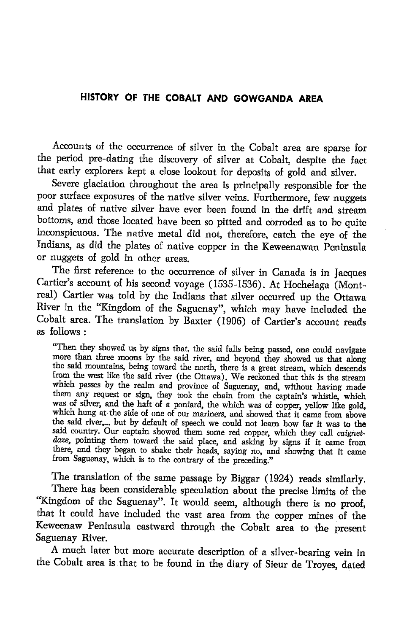## HISTORY OF THE COBALT AND GOWGANDA AREA

Accounts of the occurrence of silver in the cobalt area are sparse for the period pre-dating the discovery of silver at cobalt, despite the fact that early explorers kept a close lookout for deposits of gold and silver.

Severe glaciation throughout the area is principally responsible for the poor surface exposures of the native silver veins. Furthermore, few nuggets and plates of native silver have ever been found in the drift and stream bottoms, and those located have been so pitted and corroded as to be quite inconspicuous. The native metal did not, therefore, catch the eye of the Indians, as did the plates of native copper in the Keweenawan Peninsula or nuggets of gold in other areas.<br>The first reference to the occurrence of silver in Canada is in Jacques

Cartier's account of his second voyage (1535-1536). At Hochelaga (Montreal) Cartier was told by the Indians that silver occurred up the Ottawa River in the "Kingdom of the Saguenay", which may have included the cobalt area. The translation by Baxter (1906) of cartier's account reads as follows :

"Then they showed us by signs that, the said falls being passed, one could navigate more than three moons by the said river, and beyond they showed us that along the said mountains, being toward the north, there is a great stream, which descends from the west like the said river (the Ottawa). We reckoned that this is the stream which passes by the realm and province of Saguenay, and, without having made them any request or sign, they took the chain from the captain's whistle, which was of silver, and the haft of a poniard, the which was of copper, yellow like gold, which hung at the side of one of our mariners, and showed that it came from above the said river,... but by default of speech we could not learn how far it was to the said country. Our captain showed them some red copper, which they call caignetdaze, pointing them toward the said place, and asking by signs if it came from there, and they began to shake their heads, saying no, and showing that it came from Saguenay, which is to the contrary of the preceding."

The translation of the same passage by Biggar (1924) reads similarly. There has been considerable speculation about the precise limits of the "Kingdom of the Saguenay". It would seem, although there is no proof, that it could have included the vast area from the copper mines of the Keweenaw Peninsula eastward through the Cobalt area to the present Saguenay River.

A much later but more accurate description of a silver-bearing vein in the cobalt area is.that to be found in the diary of sieur de Troyes, dated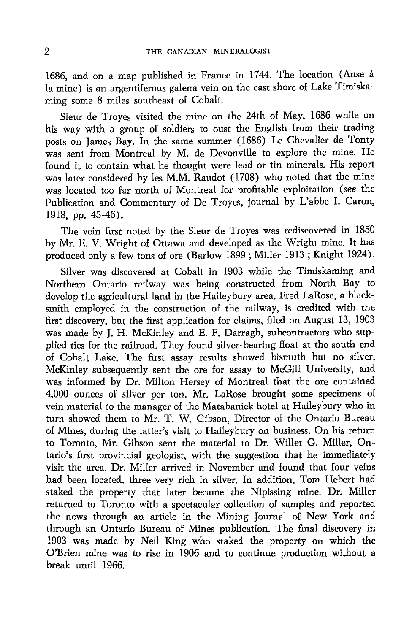1686, and on a map published in France in 1744. The location (Anse d la mine) is an argentiferous galena vein on the east shore of Lake Timiskaming some 8 miles southeast of Cobalt.

Sieur de Troyes visited the mine on the 24th of May, 1686 while on his way with a group of soldiers to oust the English from their trading posts on James Bay. In the same summer (1686) Le Chevalier de Tonty was sent from Montreal by M. de Devonville to explore the mine. He found it to contain what he thought were lead or tin minerals. His report was later considered by les M.M. Raudot (1708) who noted that the mine was located too far north of Montreal for profitable exploitation (see the Publication and Commentary of De Troyes, joumal by L'abbe I. Caron, 1918, pp. 45-46).

The vein first noted by the Sieur de Troyes was rediscovered in 1850 by Mr. E. V. Wright of Ottawa and developed as the Wright mine. It has produced only a few tons of ore (Barlow 1899 ; Miller 1913 ; Knight 1924).

Silver was discovered at Cobalt in 1903 while the Timiskaming and Northern Ontario railway was being constructed from North Bay to develop the agricultural land in the Haileybury area. Fred LaRose, a blacksmith employed in the construction of the railway, is credited with the first discovery, but the first application for claims, filed on August 13, 1903 was made by J. H. McKinley and E. F. Darragh, subcontractors who supplied ties for the railroad. They found silver-bearing float at the south end of Cobalt Lake. The fint assay results showed bismuth but no silver. McKinley subsequently sent the ore for assay to McGill University, and was informed by Dr. Milton Hersey of Montreal that the ore contained 4,000 ounces of silver per ton. Mr. LaRose brought some specimens of vein material to the manager of the Matabanick hotel at Haileybury who in turn showed them to Mr. T. W. Gibson, Director of the Ontario Bureau of Mines, during the latter's visit to Haileybury on business. On his return to Toronto, Mr. Gibson sent the material to Dr. Willet G. Miller, Ontario's first provincial geologist, with the suggestion that he immediately visit the area. Dr. Miller arrived in November and found that four veins had been located, three very rich in silver. In addition, Tom Hebert had staked the property that later became the Nipissing mine. Dr. Miller returned to Toronto with a spectacular collection of samples and reported the news through an article in the Mining Journal of New York and through an Ontario Bureau of Mines publication. The final discovery in 1903 was made by Neil King who staked the property on which the O'Brien mine was to rise in 1906 and to continue production without a break until 1966.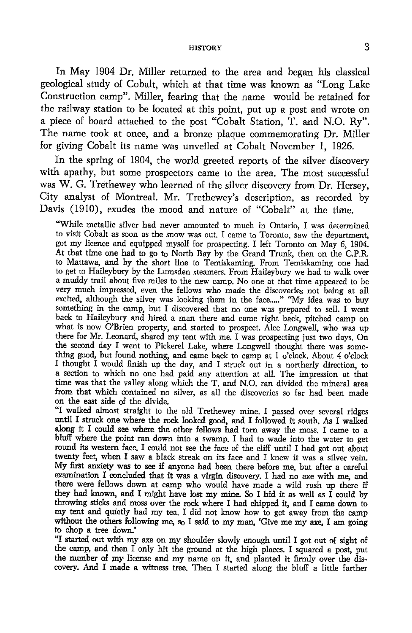## **HISTORY**

In May 1904 Dr. Miller returned to the area and began his classical geological study of Cobalt, which at that time was known as "Long Lake Construction camp". Miller, fearing that the name would be retained for the railway station to be located at this point, put up a post and wrote on a piece of board attached to the post "Cobalt Station, T. and N.O. Ry". The name took at once, and a bronze plaque commemorating Dr. Miller for giving Cobalt its name was unveiled at Cobalt November l, 1926.

In the spring of 1904, the world greeted reports of the silver discovery with apathy, but some prospectors came to the area. The most successful was W. G. Trethewey who learned of the silver discovery from Dr. Hersey, City analyst of Montreal. Mr. Trethewey's description, as recorded by Davis (1910), exudes the mood and nature of "Cobalt" at the time.

"While metallic silver had never amounted to much in Ontario, I was determined to visit Cobalt as soon as the snow was out. I came to Toronto, saw the department, got my licence and equipped myself for prospecting. I left Toronto on May 6, 1904: At that time one had to go to North Bay by the Grand Trunk, then on the C.P.R. to Mattawa, and by the short line to Temiskaming. From Temiskaming one had to get to Haileybury by the Lumsden steamers. From Haileybury we had to walk over a muddy trail about five miles to the new camp. No one at that time appeated to be very much impressed, even the fellows who made the discoveries not being at all excited, although the silver was looking them in the face....." "My idea was to buy something in the camp, but I discwered that no one was prepared to sell. I went back to Haileybury and hired a man there and came right back, pitched camp on what is now O'Brien property, and started to prospect. Alec Longwell, who was up there for Mr, Leonard, shared my tent with me. I was prospecting just two days. On the second day I went to Pickerel Lake, where Longwell thought there was something good, but found nothing, and came back to camp at I o"clock. About 4 o'clock I thought I would finish up the day, and I struck out in a northerly direction, to a section to which no one had paid any attention at all. The impression at that time was that the valley along which the T. and N.O, ran divided the mineral area from that which contained no silver, as all the discoveries so far had been made on the east side of the divide.

"I walked almost straight to the old Trethewey mine. I passed over several ridges until I struck one where the rock looked good, and I followed it south. As I walked along it I could see where the other fellows had torn away the moss. I came to a bluff where the point ran down into a srvamp. I had to wade into the water to get round its western face. I could not see the face of the cliff until I had got out about twenty feet, when I saw a black streak on its face and I knew it was a silver vein. My first anxiety was to see if anyone had been there before me, but after a careful examination I concluded that it was a virgin discovery. I had no axe with me, and there were fellows down at camp who would have made a wild rush up there if they had known, and I might have lost my mine. So I hid it as well as  $\tilde{I}$  could by throwing sticks and moss over the rock where I had chipped it, and I came down to my tent and quietly had my tea. I did not know how to get away from the camp without the others following me, so I said to my man, 'Give me my axe, I am going to chop a tree down.'

"I started out with my axe on my shoulder slowly enough until I got out of sight of the camp, and then I only hit the ground at the high places. I squared a post, put the number of my license and my name on it, and planted it firmly over the discovery. And I made a witness tree. Then I started along the blufi a tittle farther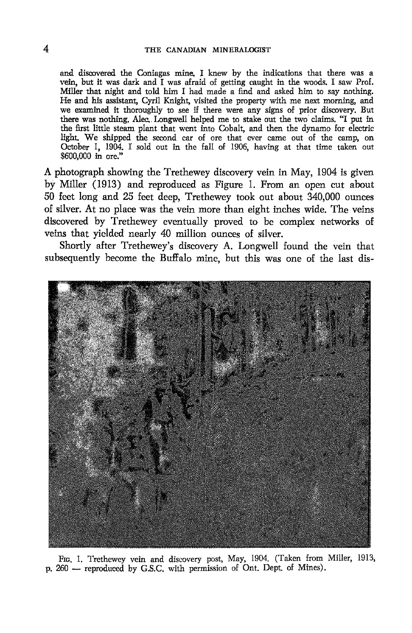and discovered the Coniagas mine. I knew by the indications that there was a vein, but it was dark and I was afraid of getting caught in the woods. I saw Prof. Miller that nighi and told him I had made a find and asked him to say nothing. He and his assistant, Cyril Knight, visited the property with me next morning, and we examined it thoroughly to see if there were any signs of prior discovery. But there was nothing. Alec. Longwell helped me to stake out the two claims. "I put in the first little steam plant that went into Cobalt, and then the dynamo for electric light. We shipped the second car of ore that ever came out of the camp, on October 1, 1904. I sold out in the fall of 1906, having at that time taken out \$600,000 in ore."

A photograph showing the Trethewey discovery vein in May, 1904 is given by Miller (1913) and reproduced as Figure 1. From an open cut abut 50 feet long and 25 feet deep, Trethewey took out about 340,000 ounces of silver. At no place was the vein more than eight inches wide. The veins discovered by Trethewey eventually proved to be complex networks of veins that yielded nearly 40 million ounces of silver.

Shortly after Trethewey's discovery A. Longwell found the vein that subsequently become the Buffalo mine, but this was one of the last dis-



FIG. 1. Trethewey vein and discovery post, May, 1904. (Taken from Miller, 1913, p. 260 - reproduced by G.S.C. with permission of Ont. Dept. of Mines).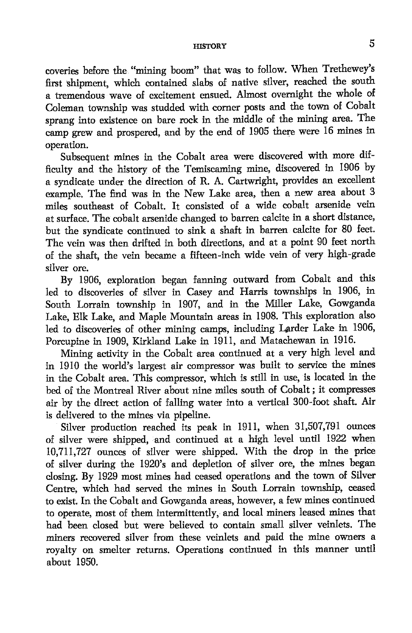## HISTORY O

coveries before the "mining boom" that was to follow. When Trethewey's first shipment, which contained slabs of native silver, reached the south a tremendous wave of excitement ensued. Abnost ovemight the whole of Coleman township was studded with comer posts and the town of Cobalt sprang into existence on bare rock in the middle of the mining area. The camp grew and prosperd, and by the end of 1905 there were 16 mines in operation.

Subsequent mines in the Cobalt area were discovered with more difficulty and the history of the Temiscaming mine, discovered in 1906 by a syndicate under the direction of R. A. Carfwright, provides an excellent example. The find was in the New Lake area, then a new area about 3 miles southeast of Cobalt. It consisted of a wide cobalt arsenide vein at surface. The cobalt arsenide changed to barren calcite in a short distance, but the syndicate continued to sink a shaft in barren calcite for 80 feet. The vein was then drifted in both directions, and at a point 90 fet north of the shaft, the vein became a fifteen-inch wide vein of very high-grade silver ore.

By 1906, exploration began fanning outward from Cobalt and this led to discoveries of silver in Casey and Harris townships in 1906, in South Lorrain township in 1907, and in the Miller Lake, Gowganda Lake, Elk Lake, and Maple Mountain areas in 1908. This exploration also led to discoveries of other mining camps, including Iarder Lake in 1906, Porcupine in 1909, Kirkland take in 1911, and Matachewan in 1916.

Mining activity in the Cobalt area continued at a very high level and in 1910 the world's largest air compressor was built to service the mines in the Cobalt area. This compressor, which is still in usg is located in the bed of the Montreal River about nine miles south of Cobalt : it compresses air by the direct action of falling water into a vertical 300-foot shaft. Air is delivered to the mines via pipeline.

Silver production reached its peak in 1911, when 31,507,791 ounces of silver were shipped, and continued at a high level until 1922 when I0,7II,727 ounces of silver were shipped. With the drop in the price of silver during the 1920's and depletion of silver ore, the mines began closing. By 1929 most mines had ceased operations and the town of Silver Centre, which had served the mines in South Lorrain township, ceased to exist. In the Cobalt and Gowganda areas, however, a few mines continued to operate, most of them intermittently, and local miners leased mines that had been closed but were believed to contain small silver veinlets. The miners recovered silver from these veinlets and paid the mine owners a royalty on smelter retums. Operations continued in this manner until about 1950.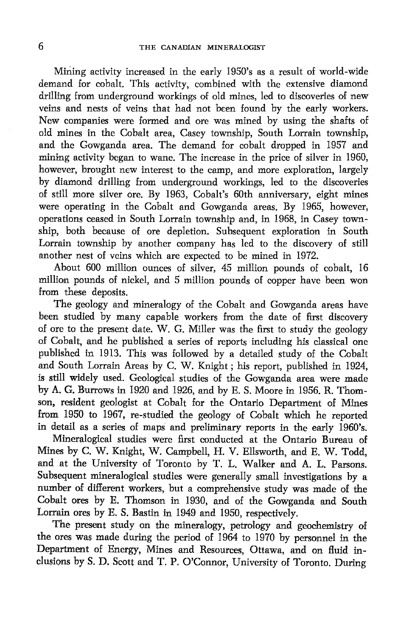Mining activity increased in the early 1950's as a result of world-wide demand for cobalt. This activity, combined with the extensive diamond drilling from underground workings of old mines, led to discoveries of new veins and nests of veins that had not been found by the early workers. New companies were formed and ore was mined by using the shafts of old mines in the Cobalt area, Casey township, South Lorrain township, and the Gowganda area. The demand for cobalt dropped in 1957 and mining activity began to wane. The increase in the price of silver in 1960, however, brought new interest to the camp, and more exploration, largely by diamond drilling from underground workings, led to the discoveries of still more silver ore. By 1963, Cobalt's 60th anniversary, eight mines were operating in the Cobalt and Gowganda areas. By 1965, however, operations ceased in South Lorrain township and, in 1968, in Casey township, both because of ore depletion. Subsequent exploration in South Lorrain township by another company has led to the discovery of still another nest of veins which are expected to be mined in 1972.

About 600 million ounces of silver, 45 million pounds of cobalt, 16 million pounds of nickel, and 5 million pounds of copper have been won from these deposits.

The geology and mineralogy of the Cobalt and Gowganda areas have been studied by many capable workers from the date of first discovery of ore to the present date. W. G. Miller was the first to study the geology of Cobalt, and he published a series of reports including his classical one published in 1913. This was followed by a detailed study of the Cobalt and South Lorrain Areas by C. W. Knight; his report, published in 1924, is still widely used. Geological studies of the Gowganda area were made by A. G. Burrows in 1920 and 1926, and by E. S. Moore in 1956. R. Thomson, resident geologist at Cobalt for the Ontario Department of Mines from 1950 to 1967, re-studied the geology of Cobalt which he reported in detail as a series of maps and preliminary reports in the early 1960's. Mineralogical studies were first conducted at the Ontario Bureau of Mines by C. W. Knight, W. Campbell, H. V. Ellsworth, and E. W. Todd, and at the University of Toronto by T. L. Walker and A. L. Parsons.

Subsequent mineralogical studies were generally small investigations by a number of difierent workers, but a comprehensive study was made of the Cobalt ores by E. Thomson in 1930, and of the Gowganda and South Lorrain ores by E. S. Bastin in 1949 and 1950, respectively.

The present study on the mineralogy, petrology and geochemistry of the ores was made during the period of 1964 to 1970 by personnel in the Department of Energy, Mines and Resources, Ottawa, and on fluid inclusions by S. D. Scott and T. P. O'Connor, University of Toronto. During